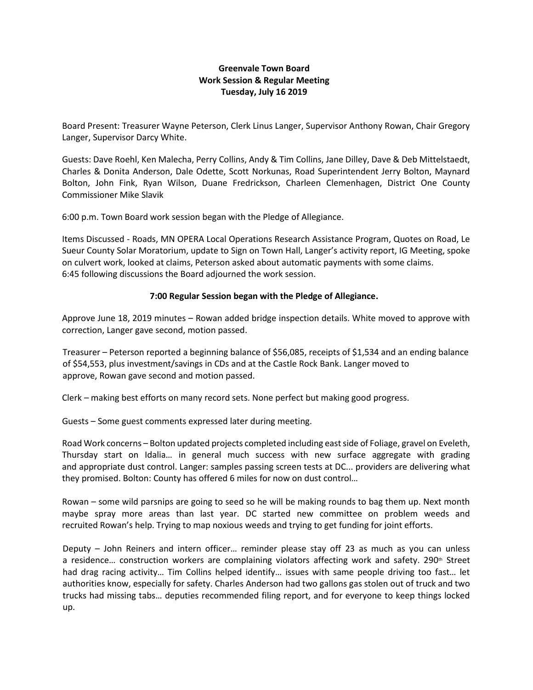## **Greenvale Town Board Work Session & Regular Meeting Tuesday, July 16 2019**

Board Present: Treasurer Wayne Peterson, Clerk Linus Langer, Supervisor Anthony Rowan, Chair Gregory Langer, Supervisor Darcy White.

Guests: Dave Roehl, Ken Malecha, Perry Collins, Andy & Tim Collins, Jane Dilley, Dave & Deb Mittelstaedt, Charles & Donita Anderson, Dale Odette, Scott Norkunas, Road Superintendent Jerry Bolton, Maynard Bolton, John Fink, Ryan Wilson, Duane Fredrickson, Charleen Clemenhagen, District One County Commissioner Mike Slavik

6:00 p.m. Town Board work session began with the Pledge of Allegiance.

Items Discussed - Roads, MN OPERA Local Operations Research Assistance Program, Quotes on Road, Le Sueur County Solar Moratorium, update to Sign on Town Hall, Langer's activity report, IG Meeting, spoke on culvert work, looked at claims, Peterson asked about automatic payments with some claims. 6:45 following discussions the Board adjourned the work session.

## **7:00 Regular Session began with the Pledge of Allegiance.**

Approve June 18, 2019 minutes – Rowan added bridge inspection details. White moved to approve with correction, Langer gave second, motion passed.

Treasurer – Peterson reported a beginning balance of \$56,085, receipts of \$1,534 and an ending balance of \$54,553, plus investment/savings in CDs and at the Castle Rock Bank. Langer moved to approve, Rowan gave second and motion passed.

Clerk – making best efforts on many record sets. None perfect but making good progress.

Guests – Some guest comments expressed later during meeting.

Road Work concerns – Bolton updated projects completed including east side of Foliage, gravel on Eveleth, Thursday start on Idalia… in general much success with new surface aggregate with grading and appropriate dust control. Langer: samples passing screen tests at DC... providers are delivering what they promised. Bolton: County has offered 6 miles for now on dust control…

Rowan – some wild parsnips are going to seed so he will be making rounds to bag them up. Next month maybe spray more areas than last year. DC started new committee on problem weeds and recruited Rowan's help. Trying to map noxious weeds and trying to get funding for joint efforts.

Deputy – John Reiners and intern officer… reminder please stay off 23 as much as you can unless a residence... construction workers are complaining violators affecting work and safety. 290<sup>th</sup> Street had drag racing activity… Tim Collins helped identify… issues with same people driving too fast… let authorities know, especially for safety. Charles Anderson had two gallons gas stolen out of truck and two trucks had missing tabs… deputies recommended filing report, and for everyone to keep things locked up.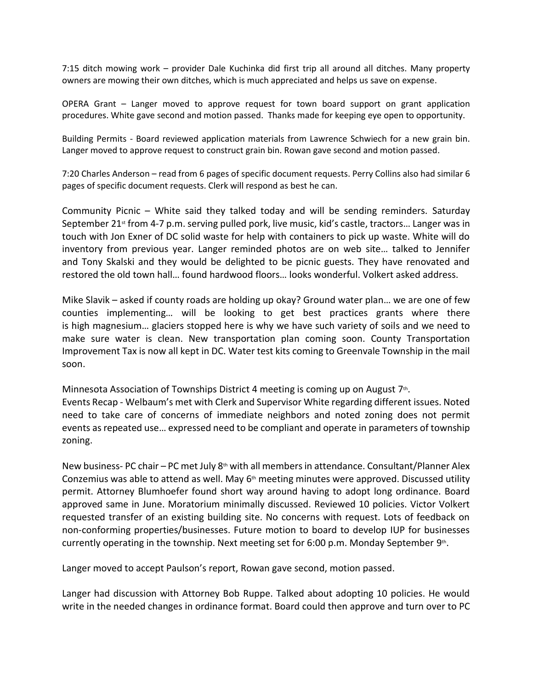7:15 ditch mowing work – provider Dale Kuchinka did first trip all around all ditches. Many property owners are mowing their own ditches, which is much appreciated and helps us save on expense.

OPERA Grant – Langer moved to approve request for town board support on grant application procedures. White gave second and motion passed. Thanks made for keeping eye open to opportunity.

Building Permits - Board reviewed application materials from Lawrence Schwiech for a new grain bin. Langer moved to approve request to construct grain bin. Rowan gave second and motion passed.

7:20 Charles Anderson – read from 6 pages of specific document requests. Perry Collins also had similar 6 pages of specific document requests. Clerk will respond as best he can.

Community Picnic – White said they talked today and will be sending reminders. Saturday September 21<sup>st</sup> from 4-7 p.m. serving pulled pork, live music, kid's castle, tractors... Langer was in touch with Jon Exner of DC solid waste for help with containers to pick up waste. White will do inventory from previous year. Langer reminded photos are on web site… talked to Jennifer and Tony Skalski and they would be delighted to be picnic guests. They have renovated and restored the old town hall… found hardwood floors… looks wonderful. Volkert asked address.

Mike Slavik – asked if county roads are holding up okay? Ground water plan… we are one of few counties implementing… will be looking to get best practices grants where there is high magnesium… glaciers stopped here is why we have such variety of soils and we need to make sure water is clean. New transportation plan coming soon. County Transportation Improvement Tax is now all kept in DC. Water test kits coming to Greenvale Township in the mail soon.

Minnesota Association of Townships District 4 meeting is coming up on August  $7<sup>th</sup>$ . Events Recap - Welbaum's met with Clerk and Supervisor White regarding different issues. Noted need to take care of concerns of immediate neighbors and noted zoning does not permit events as repeated use… expressed need to be compliant and operate in parameters of township zoning.

New business- PC chair – PC met July  $8<sup>th</sup>$  with all members in attendance. Consultant/Planner Alex Conzemius was able to attend as well. May  $6<sup>th</sup>$  meeting minutes were approved. Discussed utility permit. Attorney Blumhoefer found short way around having to adopt long ordinance. Board approved same in June. Moratorium minimally discussed. Reviewed 10 policies. Victor Volkert requested transfer of an existing building site. No concerns with request. Lots of feedback on non-conforming properties/businesses. Future motion to board to develop IUP for businesses currently operating in the township. Next meeting set for 6:00 p.m. Monday September 9th.

Langer moved to accept Paulson's report, Rowan gave second, motion passed.

Langer had discussion with Attorney Bob Ruppe. Talked about adopting 10 policies. He would write in the needed changes in ordinance format. Board could then approve and turn over to PC